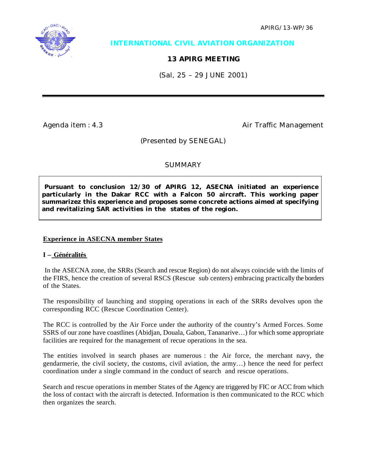APIRG/13-WP/36



## **INTERNATIONAL CIVIL AVIATION ORGANIZATION**

# **13 APIRG MEETING**

(Sal, 25 – 29 JUNE 2001)

Agenda item : 4.3 Agenda item : 4.3

(Presented by SENEGAL)

### **SUMMARY**

 **Pursuant to conclusion 12/30 of APIRG 12, ASECNA initiated an experience particularly in the Dakar RCC with a Falcon 50 aircraft. This working paper summarizez this experience and proposes some concrete actions aimed at specifying and revitalizing SAR activities in the states of the region.**

### **Experience in ASECNA member States**

### **I – Généralités**

 In the ASECNA zone, the SRRs (Search and rescue Region) do not always coincide with the limits of the FIRS, hence the creation of several RSCS (Rescue sub centers) embracing practically the borders of the States.

The responsibility of launching and stopping operations in each of the SRRs devolves upon the corresponding RCC (Rescue Coordination Center).

The RCC is controlled by the Air Force under the authority of the country's Armed Forces. Some SSRS of our zone have coastlines (Abidjan, Douala, Gabon, Tananarive…) for which some appropriate facilities are required for the management of recue operations in the sea.

The entities involved in search phases are numerous : the Air force, the merchant navy, the gendarmerie, the civil society, the customs, civil aviation, the army…) hence the need for perfect coordination under a single command in the conduct of search and rescue operations.

Search and rescue operations in member States of the Agency are triggered by FIC or ACC from which the loss of contact with the aircraft is detected. Information is then communicated to the RCC which then organizes the search.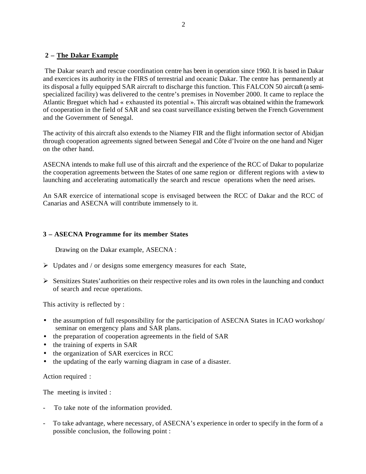#### **2 – The Dakar Example**

 The Dakar search and rescue coordination centre has been in operation since 1960. It is based in Dakar and exercices its authority in the FIRS of terrestrial and oceanic Dakar. The centre has permanently at its disposal a fully equipped SAR aircraft to discharge this function. This FALCON 50 aircraft (a semispecialized facility) was delivered to the centre's premises in November 2000. It came to replace the Atlantic Breguet which had « exhausted its potential ». This aircraft was obtained within the framework of cooperation in the field of SAR and sea coast surveillance existing betwen the French Government and the Government of Senegal.

The activity of this aircraft also extends to the Niamey FIR and the flight information sector of Abidjan through cooperation agreements signed between Senegal and Côte d'Ivoire on the one hand and Niger on the other hand.

ASECNA intends to make full use of this aircraft and the experience of the RCC of Dakar to popularize the cooperation agreements between the States of one same region or different regions with a view to launching and accelerating automatically the search and rescue operations when the need arises.

An SAR exercice of international scope is envisaged between the RCC of Dakar and the RCC of Canarias and ASECNA will contribute immensely to it.

#### **3 – ASECNA Programme for its member States**

Drawing on the Dakar example, ASECNA :

- $\triangleright$  Updates and / or designs some emergency measures for each State,
- $\triangleright$  Sensitizes States' authorities on their respective roles and its own roles in the launching and conduct of search and recue operations.

This activity is reflected by :

- the assumption of full responsibility for the participation of ASECNA States in ICAO workshop/ seminar on emergency plans and SAR plans.
- the preparation of cooperation agreements in the field of SAR
- the training of experts in SAR
- the organization of SAR exercices in RCC
- the updating of the early warning diagram in case of a disaster.

Action required :

The meeting is invited :

- To take note of the information provided.
- To take advantage, where necessary, of ASECNA's experience in order to specify in the form of a possible conclusion, the following point :